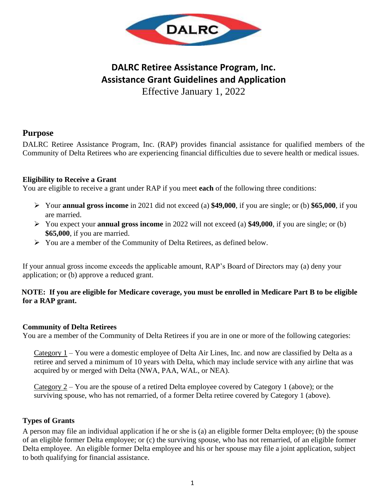

## **DALRC Retiree Assistance Program, Inc. Assistance Grant Guidelines and Application** Effective January 1, 2022

## **Purpose**

DALRC Retiree Assistance Program, Inc. (RAP) provides financial assistance for qualified members of the Community of Delta Retirees who are experiencing financial difficulties due to severe health or medical issues.

## **Eligibility to Receive a Grant**

You are eligible to receive a grant under RAP if you meet **each** of the following three conditions:

- ➢ Your **annual gross income** in 2021 did not exceed (a) **\$49,000**, if you are single; or (b) **\$65,000**, if you are married.
- ➢ You expect your **annual gross income** in 2022 will not exceed (a) **\$49,000**, if you are single; or (b) **\$65,000**, if you are married.
- ➢ You are a member of the Community of Delta Retirees, as defined below.

If your annual gross income exceeds the applicable amount, RAP's Board of Directors may (a) deny your application; or (b) approve a reduced grant.

## **NOTE: If you are eligible for Medicare coverage, you must be enrolled in Medicare Part B to be eligible for a RAP grant.**

## **Community of Delta Retirees**

You are a member of the Community of Delta Retirees if you are in one or more of the following categories:

Category 1 – You were a domestic employee of Delta Air Lines, Inc. and now are classified by Delta as a retiree and served a minimum of 10 years with Delta, which may include service with any airline that was acquired by or merged with Delta (NWA, PAA, WAL, or NEA).

Category 2 – You are the spouse of a retired Delta employee covered by Category 1 (above); or the surviving spouse, who has not remarried, of a former Delta retiree covered by Category 1 (above).

## **Types of Grants**

A person may file an individual application if he or she is (a) an eligible former Delta employee; (b) the spouse of an eligible former Delta employee; or (c) the surviving spouse, who has not remarried, of an eligible former Delta employee. An eligible former Delta employee and his or her spouse may file a joint application, subject to both qualifying for financial assistance.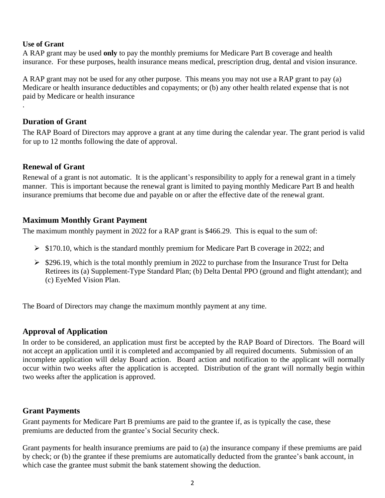#### **Use of Grant**

.

A RAP grant may be used **only** to pay the monthly premiums for Medicare Part B coverage and health insurance. For these purposes, health insurance means medical, prescription drug, dental and vision insurance.

A RAP grant may not be used for any other purpose. This means you may not use a RAP grant to pay (a) Medicare or health insurance deductibles and copayments; or (b) any other health related expense that is not paid by Medicare or health insurance

## **Duration of Grant**

The RAP Board of Directors may approve a grant at any time during the calendar year. The grant period is valid for up to 12 months following the date of approval.

## **Renewal of Grant**

Renewal of a grant is not automatic. It is the applicant's responsibility to apply for a renewal grant in a timely manner. This is important because the renewal grant is limited to paying monthly Medicare Part B and health insurance premiums that become due and payable on or after the effective date of the renewal grant.

## **Maximum Monthly Grant Payment**

The maximum monthly payment in 2022 for a RAP grant is \$466.29. This is equal to the sum of:

- ➢ \$170.10, which is the standard monthly premium for Medicare Part B coverage in 2022; and
- ➢ \$296.19, which is the total monthly premium in 2022 to purchase from the Insurance Trust for Delta Retirees its (a) Supplement-Type Standard Plan; (b) Delta Dental PPO (ground and flight attendant); and (c) EyeMed Vision Plan.

The Board of Directors may change the maximum monthly payment at any time.

## **Approval of Application**

In order to be considered, an application must first be accepted by the RAP Board of Directors. The Board will not accept an application until it is completed and accompanied by all required documents. Submission of an incomplete application will delay Board action. Board action and notification to the applicant will normally occur within two weeks after the application is accepted. Distribution of the grant will normally begin within two weeks after the application is approved.

## **Grant Payments**

Grant payments for Medicare Part B premiums are paid to the grantee if, as is typically the case, these premiums are deducted from the grantee's Social Security check.

Grant payments for health insurance premiums are paid to (a) the insurance company if these premiums are paid by check; or (b) the grantee if these premiums are automatically deducted from the grantee's bank account, in which case the grantee must submit the bank statement showing the deduction.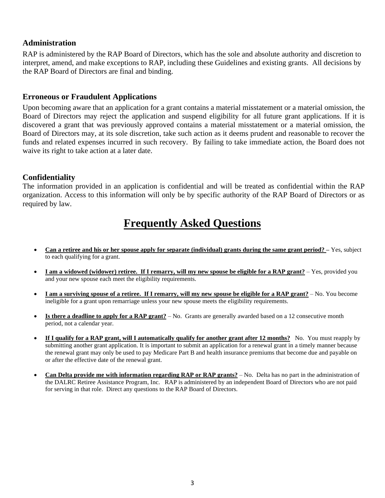## **Administration**

RAP is administered by the RAP Board of Directors, which has the sole and absolute authority and discretion to interpret, amend, and make exceptions to RAP, including these Guidelines and existing grants. All decisions by the RAP Board of Directors are final and binding.

#### **Erroneous or Fraudulent Applications**

Upon becoming aware that an application for a grant contains a material misstatement or a material omission, the Board of Directors may reject the application and suspend eligibility for all future grant applications. If it is discovered a grant that was previously approved contains a material misstatement or a material omission, the Board of Directors may, at its sole discretion, take such action as it deems prudent and reasonable to recover the funds and related expenses incurred in such recovery. By failing to take immediate action, the Board does not waive its right to take action at a later date.

#### **Confidentiality**

The information provided in an application is confidential and will be treated as confidential within the RAP organization. Access to this information will only be by specific authority of the RAP Board of Directors or as required by law.

# **Frequently Asked Questions**

- **Can a retiree and his or her spouse apply for separate (individual) grants during the same grant period? –** Yes, subject to each qualifying for a grant.
- **I am a widowed (widower) retiree. If I remarry, will my new spouse be eligible for a RAP grant?** Yes, provided you and your new spouse each meet the eligibility requirements.
- **I am a surviving spouse of a retiree. If I remarry, will my new spouse be eligible for a RAP grant?** No. You become ineligible for a grant upon remarriage unless your new spouse meets the eligibility requirements.
- **Is there a deadline to apply for a RAP grant?** No. Grants are generally awarded based on a 12 consecutive month period, not a calendar year.
- **If I qualify for a RAP grant, will I automatically qualify for another grant after 12 months?** No. You must reapply by submitting another grant application. It is important to submit an application for a renewal grant in a timely manner because the renewal grant may only be used to pay Medicare Part B and health insurance premiums that become due and payable on or after the effective date of the renewal grant.
- **Can Delta provide me with information regarding RAP or RAP grants?** No. Delta has no part in the administration of the DALRC Retiree Assistance Program, Inc. RAP is administered by an independent Board of Directors who are not paid for serving in that role. Direct any questions to the RAP Board of Directors.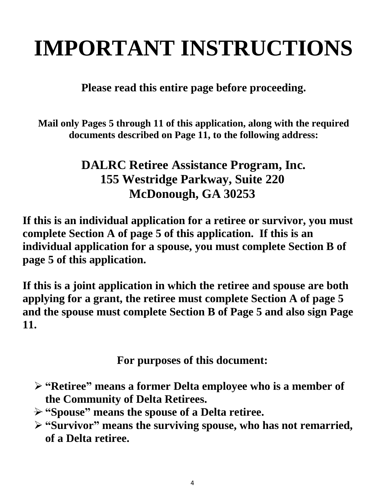# **IMPORTANT INSTRUCTIONS**

**Please read this entire page before proceeding.** 

**Mail only Pages 5 through 11 of this application, along with the required documents described on Page 11, to the following address:**

# **DALRC Retiree Assistance Program, Inc. 155 Westridge Parkway, Suite 220 McDonough, GA 30253**

**If this is an individual application for a retiree or survivor, you must complete Section A of page 5 of this application. If this is an individual application for a spouse, you must complete Section B of page 5 of this application.**

**If this is a joint application in which the retiree and spouse are both applying for a grant, the retiree must complete Section A of page 5 and the spouse must complete Section B of Page 5 and also sign Page 11.** 

**For purposes of this document:**

- ➢ **"Retiree" means a former Delta employee who is a member of the Community of Delta Retirees.**
- ➢ **"Spouse" means the spouse of a Delta retiree.**
- ➢ **"Survivor" means the surviving spouse, who has not remarried, of a Delta retiree.**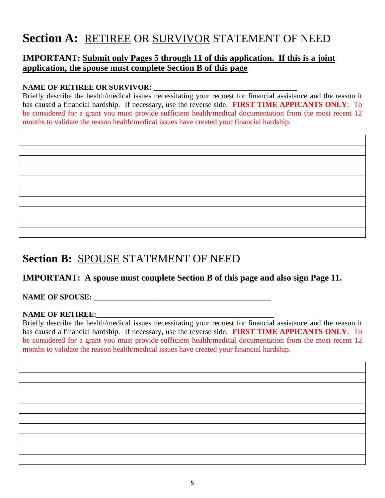# Section A: RETIREE OR SURVIVOR STATEMENT OF NEED

## **IMPORTANT: Submit only Pages 5 through 11 of this application. If this is a joint application, the spouse must complete Section B of this page**

## NAME OF RETIREE OR SURVIVOR:

Briefly describe the health/medical issues necessitating your request for financial assistance and the reason it has caused a financial hardship. If necessary, use the reverse side. **FIRST TIME APPICANTS ONLY**: To be considered for a grant you must provide sufficient health/medical documentation from the most recent 12 months to validate the reason health/medical issues have created your financial hardship.

# **Section B:** SPOUSE STATEMENT OF NEED

## **IMPORTANT: A spouse must complete Section B of this page and also sign Page 11.**

## NAME OF SPOUSE:

## NAME OF RETIREE:

Briefly describe the health/medical issues necessitating your request for financial assistance and the reason it has caused a financial hardship. If necessary, use the reverse side. **FIRST TIME APPICANTS ONLY**: To be considered for a grant you must provide sufficient health/medical documentation from the most recent 12 months to validate the reason health/medical issues have created your financial hardship.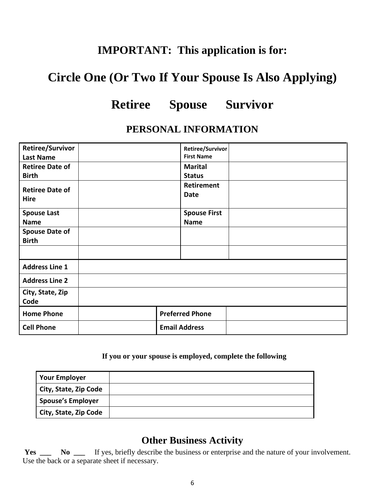# **IMPORTANT: This application is for:**

# **Circle One (Or Two If Your Spouse Is Also Applying)**

# **Retiree Spouse Survivor**

## **PERSONAL INFORMATION**

| <b>Retiree/Survivor</b><br><b>Last Name</b>           |                              | Retiree/Survivor<br><b>First Name</b> |
|-------------------------------------------------------|------------------------------|---------------------------------------|
| <b>Retiree Date of</b>                                | <b>Marital</b>               |                                       |
| <b>Birth</b><br><b>Retiree Date of</b><br><b>Hire</b> | <b>Status</b><br><b>Date</b> | <b>Retirement</b>                     |
| <b>Spouse Last</b><br><b>Name</b>                     | <b>Name</b>                  | <b>Spouse First</b>                   |
| <b>Spouse Date of</b><br><b>Birth</b>                 |                              |                                       |
|                                                       |                              |                                       |
| <b>Address Line 1</b>                                 |                              |                                       |
| <b>Address Line 2</b>                                 |                              |                                       |
| City, State, Zip<br>Code                              |                              |                                       |
| <b>Home Phone</b>                                     | <b>Preferred Phone</b>       |                                       |
| <b>Cell Phone</b>                                     | <b>Email Address</b>         |                                       |

## **If you or your spouse is employed, complete the following**

| <b>Your Employer</b>     |  |
|--------------------------|--|
| City, State, Zip Code    |  |
| <b>Spouse's Employer</b> |  |
| City, State, Zip Code    |  |

## **Other Business Activity**

Yes \_\_\_ No \_\_\_ If yes, briefly describe the business or enterprise and the nature of your involvement. Use the back or a separate sheet if necessary.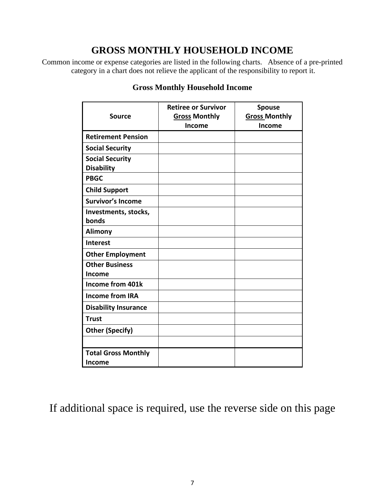## **GROSS MONTHLY HOUSEHOLD INCOME**

Common income or expense categories are listed in the following charts. Absence of a pre-printed category in a chart does not relieve the applicant of the responsibility to report it.

| <b>Source</b>               | <b>Retiree or Survivor</b><br><b>Gross Monthly</b><br>Income | <b>Spouse</b><br><b>Gross Monthly</b><br>Income |
|-----------------------------|--------------------------------------------------------------|-------------------------------------------------|
| <b>Retirement Pension</b>   |                                                              |                                                 |
| <b>Social Security</b>      |                                                              |                                                 |
| <b>Social Security</b>      |                                                              |                                                 |
| <b>Disability</b>           |                                                              |                                                 |
| <b>PBGC</b>                 |                                                              |                                                 |
| <b>Child Support</b>        |                                                              |                                                 |
| <b>Survivor's Income</b>    |                                                              |                                                 |
| Investments, stocks,        |                                                              |                                                 |
| bonds                       |                                                              |                                                 |
| <b>Alimony</b>              |                                                              |                                                 |
| Interest                    |                                                              |                                                 |
| <b>Other Employment</b>     |                                                              |                                                 |
| <b>Other Business</b>       |                                                              |                                                 |
| Income                      |                                                              |                                                 |
| Income from 401k            |                                                              |                                                 |
| <b>Income from IRA</b>      |                                                              |                                                 |
| <b>Disability Insurance</b> |                                                              |                                                 |
| <b>Trust</b>                |                                                              |                                                 |
| <b>Other (Specify)</b>      |                                                              |                                                 |
|                             |                                                              |                                                 |
| <b>Total Gross Monthly</b>  |                                                              |                                                 |
| Income                      |                                                              |                                                 |

## **Gross Monthly Household Income**

If additional space is required, use the reverse side on this page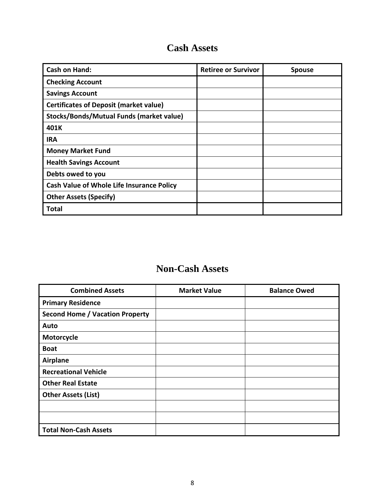## **Cash Assets**

| <b>Cash on Hand:</b>                             | <b>Retiree or Survivor</b> | <b>Spouse</b> |
|--------------------------------------------------|----------------------------|---------------|
| <b>Checking Account</b>                          |                            |               |
| <b>Savings Account</b>                           |                            |               |
| <b>Certificates of Deposit (market value)</b>    |                            |               |
| Stocks/Bonds/Mutual Funds (market value)         |                            |               |
| 401K                                             |                            |               |
| <b>IRA</b>                                       |                            |               |
| <b>Money Market Fund</b>                         |                            |               |
| <b>Health Savings Account</b>                    |                            |               |
| Debts owed to you                                |                            |               |
| <b>Cash Value of Whole Life Insurance Policy</b> |                            |               |
| <b>Other Assets (Specify)</b>                    |                            |               |
| <b>Total</b>                                     |                            |               |

# **Non-Cash Assets**

 $\overline{a}$ 

| <b>Combined Assets</b>                 | <b>Market Value</b> | <b>Balance Owed</b> |
|----------------------------------------|---------------------|---------------------|
| <b>Primary Residence</b>               |                     |                     |
| <b>Second Home / Vacation Property</b> |                     |                     |
| Auto                                   |                     |                     |
| Motorcycle                             |                     |                     |
| <b>Boat</b>                            |                     |                     |
| <b>Airplane</b>                        |                     |                     |
| <b>Recreational Vehicle</b>            |                     |                     |
| <b>Other Real Estate</b>               |                     |                     |
| <b>Other Assets (List)</b>             |                     |                     |
|                                        |                     |                     |
|                                        |                     |                     |
| <b>Total Non-Cash Assets</b>           |                     |                     |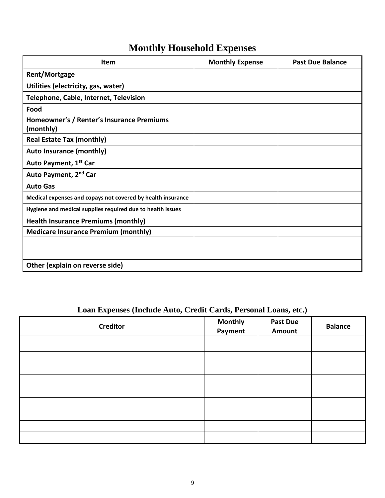# **Monthly Household Expenses**

| Item                                                        | <b>Monthly Expense</b> | <b>Past Due Balance</b> |
|-------------------------------------------------------------|------------------------|-------------------------|
| <b>Rent/Mortgage</b>                                        |                        |                         |
| Utilities (electricity, gas, water)                         |                        |                         |
| Telephone, Cable, Internet, Television                      |                        |                         |
| Food                                                        |                        |                         |
| Homeowner's / Renter's Insurance Premiums<br>(monthly)      |                        |                         |
| <b>Real Estate Tax (monthly)</b>                            |                        |                         |
| <b>Auto Insurance (monthly)</b>                             |                        |                         |
| Auto Payment, 1 <sup>st</sup> Car                           |                        |                         |
| Auto Payment, 2nd Car                                       |                        |                         |
| <b>Auto Gas</b>                                             |                        |                         |
| Medical expenses and copays not covered by health insurance |                        |                         |
| Hygiene and medical supplies required due to health issues  |                        |                         |
| <b>Health Insurance Premiums (monthly)</b>                  |                        |                         |
| <b>Medicare Insurance Premium (monthly)</b>                 |                        |                         |
|                                                             |                        |                         |
|                                                             |                        |                         |
| Other (explain on reverse side)                             |                        |                         |

## **Loan Expenses (Include Auto, Credit Cards, Personal Loans, etc.)**

| <b>Creditor</b> | <b>Monthly</b><br>Payment | <b>Past Due</b><br>Amount | <b>Balance</b> |
|-----------------|---------------------------|---------------------------|----------------|
|                 |                           |                           |                |
|                 |                           |                           |                |
|                 |                           |                           |                |
|                 |                           |                           |                |
|                 |                           |                           |                |
|                 |                           |                           |                |
|                 |                           |                           |                |
|                 |                           |                           |                |
|                 |                           |                           |                |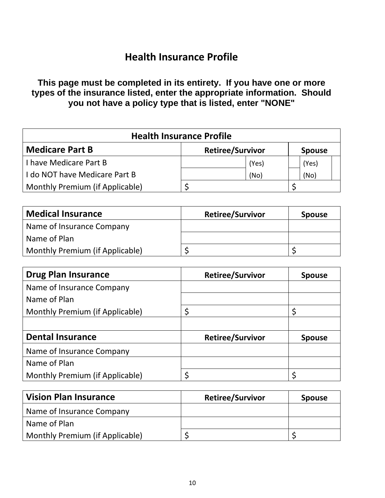## **Health Insurance Profile**

**This page must be completed in its entirety. If you have one or more types of the insurance listed, enter the appropriate information. Should you not have a policy type that is listed, enter "NONE"**

| <b>Health Insurance Profile</b>                                    |  |       |  |       |
|--------------------------------------------------------------------|--|-------|--|-------|
| <b>Medicare Part B</b><br><b>Retiree/Survivor</b><br><b>Spouse</b> |  |       |  |       |
| <b>I have Medicare Part B</b>                                      |  | (Yes) |  | (Yes) |
| I do NOT have Medicare Part B                                      |  | (No)  |  | (No)  |
| Monthly Premium (if Applicable)                                    |  |       |  |       |

| <b>Medical Insurance</b>        | <b>Retiree/Survivor</b> | <b>Spouse</b> |
|---------------------------------|-------------------------|---------------|
| Name of Insurance Company       |                         |               |
| Name of Plan                    |                         |               |
| Monthly Premium (if Applicable) |                         |               |

| <b>Drug Plan Insurance</b>      | <b>Retiree/Survivor</b> | <b>Spouse</b> |
|---------------------------------|-------------------------|---------------|
| Name of Insurance Company       |                         |               |
| Name of Plan                    |                         |               |
| Monthly Premium (if Applicable) | \$                      |               |
|                                 |                         |               |
| <b>Dental Insurance</b>         | <b>Retiree/Survivor</b> | <b>Spouse</b> |
| Name of Insurance Company       |                         |               |
| Name of Plan                    |                         |               |
| Monthly Premium (if Applicable) | ς                       |               |

| <b>Vision Plan Insurance</b>    | <b>Retiree/Survivor</b> | <b>Spouse</b> |
|---------------------------------|-------------------------|---------------|
| Name of Insurance Company       |                         |               |
| Name of Plan                    |                         |               |
| Monthly Premium (if Applicable) |                         |               |